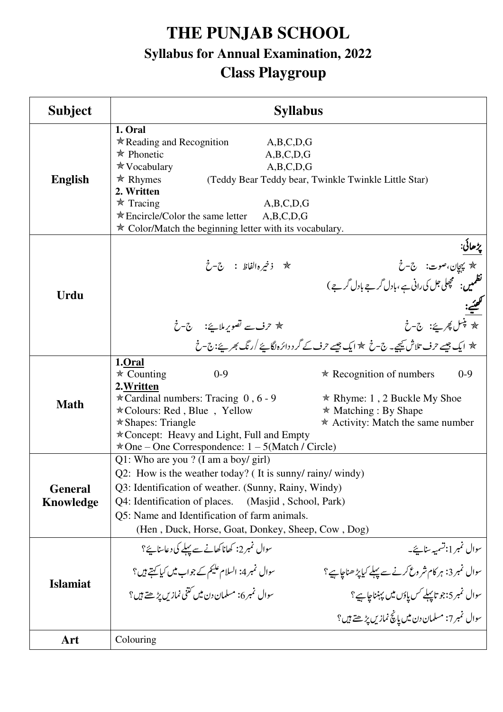# **THE PUNJAB SCHOOL Syllabus for Annual Examination, 2022 Class Playgroup**

| <b>Subject</b>                     | <b>Syllabus</b>                                                                                                                                                                                                                                                                                                         |                                                                                                                                                                                                                                                   |
|------------------------------------|-------------------------------------------------------------------------------------------------------------------------------------------------------------------------------------------------------------------------------------------------------------------------------------------------------------------------|---------------------------------------------------------------------------------------------------------------------------------------------------------------------------------------------------------------------------------------------------|
| <b>English</b>                     | 1. Oral<br>$\star$ Reading and Recognition<br>A,B,C,D,G<br>$\star$ Phonetic<br>A,B,C,D,G<br><b>★ Vocabulary</b><br>A,B,C,D,G<br>$*$ Rhymes<br>2. Written<br>$\star$ Tracing<br>A,B,C,D,G<br>$*$ Encircle/Color the same letter<br>A,B,C,D,G<br>* Color/Match the beginning letter with its vocabulary.                  | (Teddy Bear Teddy bear, Twinkle Twinkle Little Star)                                                                                                                                                                                              |
| <b>Urdu</b>                        | $\dot{\mathcal{L}}$ ذخير ه الفاظ : $\mathcal{L}$ - خ                                                                                                                                                                                                                                                                    | <u>پڑھائی</u> :<br><del>ام</del> ریپچان،صوت: ج-خ<br>  نظمیں: مچھلی جل کی رانی ہے،بادل گرجے بادل گرجے)<br>يت<br><u>لکھنيے:</u><br>* بنسل پھريے: ج-خ<br>* ایک جیسے حرف تلاش <u>ب</u> ھیجے۔ ج-خ * ایک جیسے حرف کے گر د دائرہ لگاہئے /رنگ بھر پئے:ج-خ |
| <b>Math</b>                        | 1.0ral<br>$\star$ Counting<br>$0 - 9$<br>2. Written<br>* Cardinal numbers: Tracing $0, 6 - 9$<br>*Colours: Red, Blue, Yellow<br>$\star$ Shapes: Triangle<br>* Concept: Heavy and Light, Full and Empty<br>$\star$ One – One Correspondence: $1 - 5$ (Match / Circle)                                                    | $*$ Recognition of numbers<br>$0 - 9$<br>* Rhyme: 1, 2 Buckle My Shoe<br>$*$ Matching : By Shape<br>$*$ Activity: Match the same number                                                                                                           |
| <b>General</b><br><b>Knowledge</b> | Q1: Who are you ? (I am a boy/ girl)<br>Q2: How is the weather today? (It is sunny/rainy/windy)<br>Q3: Identification of weather. (Sunny, Rainy, Windy)<br>Q4: Identification of places.<br>(Masjid, School, Park)<br>Q5: Name and Identification of farm animals.<br>(Hen, Duck, Horse, Goat, Donkey, Sheep, Cow, Dog) |                                                                                                                                                                                                                                                   |
| <b>Islamiat</b>                    | سوال نمبر2: کھانا کھانے سے پہلے کی دعاسنایئے؟<br>سوال نمبر4: السلام عليم کے جواب میں کی <u>ا کہت</u> ے ہیں؟<br>سوال نمبر 6: مسلمان دن میں کتنی نمازیں پڑھتے ہیں؟                                                                                                                                                        | سوال تمبر 1:تسمیہ سنانچے۔<br>سوال نمبر3: ہر کام شروع کرنے سے پہلے کیاپڑھناچاہیے؟<br>سوال نمبر 5:جو تاپہلے کس یاؤں میں پہنناچاہیے؟<br>سوال نمبر7: مسلمان دن میں پانچ نمازیں پڑھتے ہیں؟                                                             |
| Art                                | Colouring                                                                                                                                                                                                                                                                                                               |                                                                                                                                                                                                                                                   |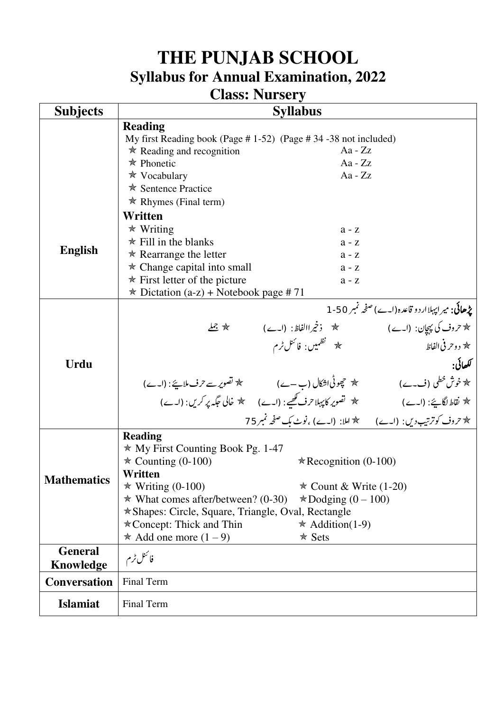### **Class: Nursery**

| <b>Subjects</b>                    | <b>Syllabus</b>                                                                                                                                                           |                                                            |                                                         |
|------------------------------------|---------------------------------------------------------------------------------------------------------------------------------------------------------------------------|------------------------------------------------------------|---------------------------------------------------------|
|                                    | <b>Reading</b>                                                                                                                                                            |                                                            |                                                         |
|                                    | My first Reading book (Page #1-52) (Page #34 -38 not included)                                                                                                            |                                                            |                                                         |
|                                    | $\star$ Reading and recognition                                                                                                                                           | Aa - $Zz$                                                  |                                                         |
|                                    | $\star$ Phonetic                                                                                                                                                          | $Aa - ZZ$                                                  |                                                         |
|                                    | $\star$ Vocabulary                                                                                                                                                        | $Aa - ZZ$                                                  |                                                         |
|                                    | <b>★ Sentence Practice</b>                                                                                                                                                |                                                            |                                                         |
|                                    | $\star$ Rhymes (Final term)                                                                                                                                               |                                                            |                                                         |
|                                    | Written                                                                                                                                                                   |                                                            |                                                         |
|                                    | $*$ Writing                                                                                                                                                               | $a - z$                                                    |                                                         |
| <b>English</b>                     | $\star$ Fill in the blanks                                                                                                                                                | $a - z$                                                    |                                                         |
|                                    | $\star$ Rearrange the letter                                                                                                                                              | $a - z$                                                    |                                                         |
|                                    | $\star$ Change capital into small                                                                                                                                         | $a - z$                                                    |                                                         |
|                                    | $*$ First letter of the picture                                                                                                                                           | $a - z$                                                    |                                                         |
|                                    | $\star$ Dictation (a-z) + Notebook page #71                                                                                                                               |                                                            |                                                         |
|                                    |                                                                                                                                                                           |                                                            | <b>پڑھائی:</b> میرایہلاار دو قاعدہ (ا۔ے) صفحہ نمبر 50-1 |
|                                    |                                                                                                                                                                           |                                                            |                                                         |
|                                    |                                                                                                                                                                           | * <sup>نظمی</sup> یں: فا <sup>ئن</sup> ل ٹرم               | ★ دوحر في الفاظ                                         |
| <b>Urdu</b>                        |                                                                                                                                                                           |                                                            | لكھائي.                                                 |
|                                    |                                                                                                                                                                           |                                                            |                                                         |
|                                    | * خوش خطی (ف۔ے) ہے میں پہنچ حیونی اشکال (ب–ے) میں تھوری <i>ے حر</i> ف ملاہئے: (ا۔ے)<br>* نقاط لگاہئے: (ا۔ے) میں تصویر کا پہلا حرف کھیے: (ا۔ے) میں خالی جگہ پر کریں: (ا۔ے) |                                                            |                                                         |
|                                    |                                                                                                                                                                           | * تروف کوترتیب دیں: (اے) * املا: (اے) ،نوٹ بک صفحہ نمبر 75 |                                                         |
|                                    | <b>Reading</b>                                                                                                                                                            |                                                            |                                                         |
|                                    | $*$ My First Counting Book Pg. 1-47                                                                                                                                       |                                                            |                                                         |
|                                    | $\star$ Counting (0-100)                                                                                                                                                  | $\star$ Recognition (0-100)                                |                                                         |
| <b>Mathematics</b>                 | Written                                                                                                                                                                   |                                                            |                                                         |
|                                    | $\star$ Writing (0-100)                                                                                                                                                   | $\star$ Count & Write (1-20)                               |                                                         |
|                                    | $\star$ What comes after/between? (0-30)                                                                                                                                  | $\star$ Dodging (0 – 100)                                  |                                                         |
|                                    | * Shapes: Circle, Square, Triangle, Oval, Rectangle                                                                                                                       |                                                            |                                                         |
|                                    | $\star$ Concept: Thick and Thin                                                                                                                                           | $\star$ Addition(1-9)                                      |                                                         |
|                                    | * Add one more $(1 – 9)$                                                                                                                                                  | $*$ Sets                                                   |                                                         |
| <b>General</b><br><b>Knowledge</b> | فائتل ٹرم                                                                                                                                                                 |                                                            |                                                         |
| <b>Conversation</b>                | <b>Final Term</b>                                                                                                                                                         |                                                            |                                                         |
| <b>Islamiat</b>                    | Final Term                                                                                                                                                                |                                                            |                                                         |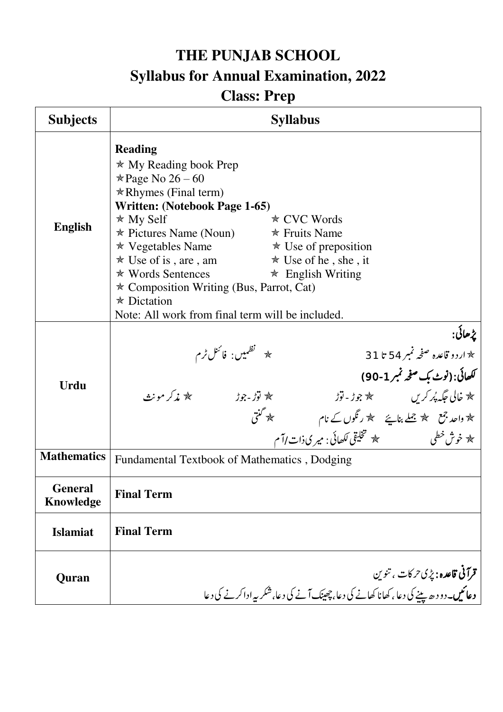# **Class: Prep**

| <b>Subjects</b>                    | <b>Syllabus</b>                                                                                                                                                                                                                                                                                                                                                                                                                                              |  |
|------------------------------------|--------------------------------------------------------------------------------------------------------------------------------------------------------------------------------------------------------------------------------------------------------------------------------------------------------------------------------------------------------------------------------------------------------------------------------------------------------------|--|
| <b>English</b>                     | <b>Reading</b><br>$\star$ My Reading book Prep<br>$\ast$ Page No 26 – 60<br>$\star$ Rhymes (Final term)<br>Written: (Notebook Page 1-65)<br>$*$ My Self<br>$\star$ CVC Words<br>$\ast$ Pictures Name (Noun) $\ast$ Fruits Name<br>* Vegetables Name<br>* Use of is, are, am * Use of he, she, it<br>★ Words Sentences ★ English Writing<br>* Composition Writing (Bus, Parrot, Cat)<br>$\star$ Dictation<br>Note: All work from final term will be included. |  |
| <b>Urdu</b>                        | پڑھائی:<br>  * اردو قاعدہ صفحہ نمبر 54 تا 31<br>* <sup>نظمی</sup> یں: فا <sup>ئن</sup> ل ٹرم<br>لكھائى: (نوٹ بک صفحہ نمبر 1-90)<br>ہ خالی جگہ پُر کریں ہے ہیں ہوڑ - توڑ<br>ہو واحد جمع ہو جملے بنا ہے ہیں رنگوں کے نام ہے کھیں گئی ہیں ہو جسے ہیں ہو<br>ہو خوش خطی ہیں تھیں تخلیقی لکھائی : میر کی ذات اآم<br>کا مذکر مونٹ                                                                                                                                   |  |
| <b>Mathematics</b>                 | Fundamental Textbook of Mathematics, Dodging                                                                                                                                                                                                                                                                                                                                                                                                                 |  |
| <b>General</b><br><b>Knowledge</b> | <b>Final Term</b>                                                                                                                                                                                                                                                                                                                                                                                                                                            |  |
| <b>Islamiat</b>                    | <b>Final Term</b>                                                                                                                                                                                                                                                                                                                                                                                                                                            |  |
| Quran                              | <b>قرآنی قاعدہ :</b> پڑی حرکات ، تنوین<br>  <b>دعائیں۔</b> دو د حدیثیے کی دعا <sub>ن</sub> کھانا کھانے کی دعا، چھینک آنے کی د <u>عا، شکر بہ اداکر نے کی دعا</u>                                                                                                                                                                                                                                                                                              |  |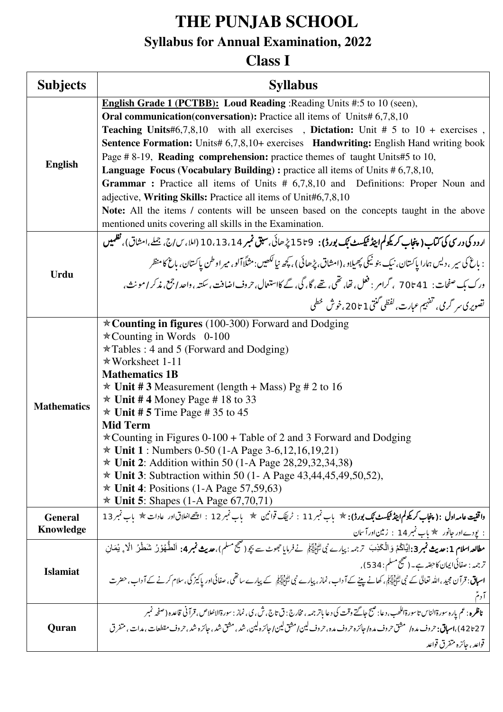# **THE PUNJAB SCHOOL**

## **Syllabus for Annual Examination, 2022**

### **Class I**

| <b>Subjects</b>             | <b>Syllabus</b>                                                                                                                                                                                                                                                                                                                                                                                                                                                                                                                                                                                                                                                                                                                                                                                                                                              |
|-----------------------------|--------------------------------------------------------------------------------------------------------------------------------------------------------------------------------------------------------------------------------------------------------------------------------------------------------------------------------------------------------------------------------------------------------------------------------------------------------------------------------------------------------------------------------------------------------------------------------------------------------------------------------------------------------------------------------------------------------------------------------------------------------------------------------------------------------------------------------------------------------------|
| <b>English</b>              | <b>English Grade 1 (PCTBB):</b> Loud Reading : Reading Units #:5 to 10 (seen),<br><b>Oral communication (conversation):</b> Practice all items of Units# 6,7,8,10<br><b>Teaching Units#6,7,8,10</b> with all exercises, Dictation: Unit # 5 to $10 +$ exercises,<br><b>Sentence Formation:</b> Units# 6,7,8,10+ exercises <b>Handwriting:</b> English Hand writing book<br>Page #8-19, Reading comprehension: practice themes of taught Units#5 to 10,<br><b>Language Focus (Vocabulary Building):</b> practice all items of Units $# 6,7,8,10,$<br>Grammar: Practice all items of Units # 6,7,8,10 and Definitions: Proper Noun and<br>adjective, Writing Skills: Practice all items of Unit#6,7,8,10<br>Note: All the items / contents will be unseen based on the concepts taught in the above<br>mentioned units covering all skills in the Examination. |
| <b>Urdu</b>                 | ارد د کی درسی کی کتاب ( پنجاب کریکولم اینڈ ٹیکسٹ بُک بورڈ ) :   9 تا 15 پڑھائی، سبق نمبر 1 ،13،14 (املا، س/ج، جملے،امشاق)، نظمیں<br>: باغ کې سپر ، دلیں ہمارا پاکستان، نبک بنو نیکی پھیلاو، (امشاق، پڑھائی ) ، کچھ نیالکھیں:مثلّاً آلو، میراوطن پاکستان، باغ کامنظر<br>ورک بک صفحات :   41 تا 70   ، گرامر : فعل ، قفا، نقمی ، تھے، گا، گی، گے کااستعال، حروف اضافت ، سکتہ ، واحد اجمع، مذکر ا مونث،<br>تصویری سر گرمی، تفہیم عبارت، <sup>لفظی</sup> گنتی 1 تا 20،خوش <sup>خطی</sup>                                                                                                                                                                                                                                                                                                                                                                         |
| <b>Mathematics</b>          | $\star$ Counting in figures (100-300) Forward and Dodging<br>$\star$ Counting in Words 0-100<br>$\star$ Tables : 4 and 5 (Forward and Dodging)<br>$*$ Worksheet 1-11<br><b>Mathematics 1B</b><br>$\star$ Unit #3 Measurement (length + Mass) Pg # 2 to 16<br>$\star$ Unit #4 Money Page #18 to 33<br>$\star$ Unit # 5 Time Page # 35 to 45<br><b>Mid Term</b><br>$\star$ Counting in Figures 0-100 + Table of 2 and 3 Forward and Dodging<br>$\star$ Unit 1 : Numbers 0-50 (1-A Page 3-6,12,16,19,21)<br>$*$ Unit 2: Addition within 50 (1-A Page 28, 29, 32, 34, 38)<br>$*$ Unit 3: Subtraction within 50 (1- A Page 43,44,45,49,50,52),<br>$\star$ Unit 4: Positions (1-A Page 57,59,63)<br><b>* Unit 5:</b> Shapes $(1-A \text{ Page } 67,70,71)$                                                                                                         |
| <b>General</b><br>Knowledge | واقفیت عامہ اول :( پنجاب کریکولم اینڈ ٹیکسٹ بُک بورڈ): * باب نمبر 11 ∶ ٹریفک قوانین * باب نمبر 12 ∶ اچھےانحلاق اور عادات * باب نمبر 13<br>: یودےاور جانور € باب تمبر 14 ∶ زمین اور آسان                                                                                                                                                                                                                                                                                                                                                                                                                                                                                                                                                                                                                                                                      |
| <b>Islamiat</b>             | مطالعہاسلام 1:مدیث نمبر3:اِیَّاکُمْ وَالْکَذِبَ تَرْجمہ:پی <i>ارے نِی اِٹَّائِیْہَمْ نےفرم</i> ایا جموٹے سے بچر(صحیحسلم)،مدیث نمبر4: اَلطَّهُوْرُ شَطْرُ الْا ؞ يْمَان<br>ترجمہ : صفائی ایمان کاحِصّہ ہے۔ (صحیح مسلم : 534) ,<br><b>اسباق</b> : قرآن مجید ،اللہ تعالیٰ کے نبی لٹائِلِیٓہِکی کھانے پینے کے آداب ، نماز ، پیارے نبی کے پیارے ساتھی ، صفائی اور پاکیز گی ، سلام کرنے کے آ داب ، حضرت<br>آدم                                                                                                                                                                                                                                                                                                                                                                                                                                                     |
| Quran                       | <b>ناظره</b> : عم باره سورةالناس تاسورةاللھب،دعا: صبح جاگتے وقت کی دعا باتر جمہ ،مخارج : ق تاج، ش، پی، نماز : سورةالانعلاص،قرآني قاعده (صفحه نمبر<br>42+27)، <b>اسباق:</b> حروف مده/ مشق حروف مده/ جائزه حروف مده، حروف لین/مشق لین/ جائزه لین، شد، مشق شد، جائزه شد، حروف مقطعات، مدات، متفرق<br>قواعد ، جائزه متفرق قواعد                                                                                                                                                                                                                                                                                                                                                                                                                                                                                                                                  |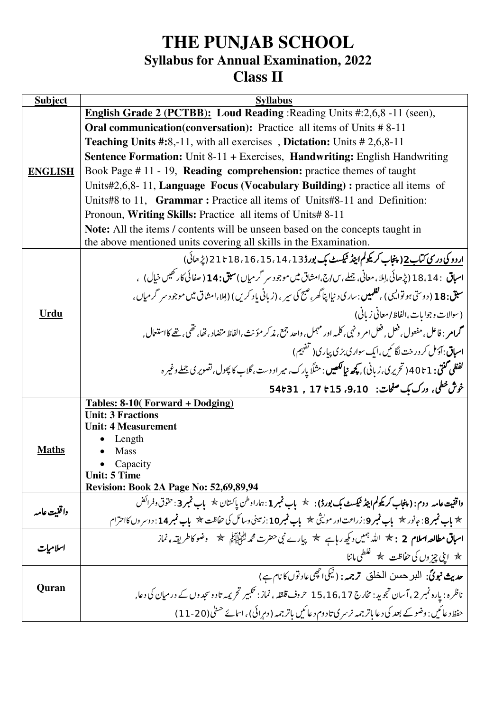### **THE PUNJAB SCHOOL Syllabus for Annual Examination, 2022 Class II**

| <b>Subject</b> | <b>Syllabus</b>                                                                                                                                             |
|----------------|-------------------------------------------------------------------------------------------------------------------------------------------------------------|
|                | English Grade 2 (PCTBB): Loud Reading : Reading Units #:2,6,8 -11 (seen),                                                                                   |
|                | <b>Oral communication (conversation):</b> Practice all items of Units #8-11                                                                                 |
|                | <b>Teaching Units #:8,-11, with all exercises</b> , <b>Dictation:</b> Units #2,6,8-11                                                                       |
|                | <b>Sentence Formation:</b> Unit 8-11 + Exercises, <b>Handwriting:</b> English Handwriting                                                                   |
| <b>ENGLISH</b> | Book Page #11 - 19, Reading comprehension: practice themes of taught                                                                                        |
|                | Units#2,6,8-11, Language Focus (Vocabulary Building): practice all items of                                                                                 |
|                | Units#8 to 11, Grammar: Practice all items of Units#8-11 and Definition:                                                                                    |
|                | Pronoun, Writing Skills: Practice all items of Units# 8-11                                                                                                  |
|                | Note: All the items / contents will be unseen based on the concepts taught in                                                                               |
|                | the above mentioned units covering all skills in the Examination.                                                                                           |
|                | اردو کې در سي کتاب 2( پنجاب کريکولم اينڈ نيکسٹ بک بورڈ13 ، 14 ، 15 ، 16 ، 18 تا 21 (پڑھائی)                                                                 |
|                | <b>اسباق : 18،14 (پڑھائی،لِلا، معانی، جملے، سارج،امشاق میں موجود سر گرمیاں ) سبق: 14 ( صفائی کارتھیں خیال)</b> ،                                            |
|                | س <b>بق: 18</b> (دوسی ہو توایسی ) ، <b>تظمین</b> : ساری د نیاا پناگھر، صبح کی سیر ، (زیانی یا د کریں) (اِملا،امشاق میں موجود سر گرمیاں ،                    |
| Urdu           | (سوالات وجوابات،الفاظ/معاني زباني)                                                                                                                          |
|                | محم <b>ام : فاعل ، مفعول ، فعل , فعل امر و ن</b> هى ، كلمه اور مہمل ، واحد جمع ، م <b>ذ</b> كر مؤنث ،الفاظ متضاد ، <sub>ت</sub> ضا ، تنبي ، تنبے كااستعال , |
|                | ا <b>سباق: آدَ<sup>مل ک</sup>ردرخت لگائیں،ایک سواری بڑی پیاری(ت<sup>قفہ</sup>یم)</b>                                                                        |
|                | <b>لفظی گنتی : 1 تا 40 (تحریری،زبانی) , کچھ نیالکھیں</b> : مثلًا پارک، میرادوست، گلاب کا پھول، تصویر کی جملے وغیر ہ                                         |
|                | خوش خطی، ورک بک صفحات: 9،10، 15 تا 54 با 54 تا                                                                                                              |
|                | <b>Tables: 8-10(Forward + Dodging)</b>                                                                                                                      |
|                | <b>Unit: 3 Fractions</b><br><b>Unit: 4 Measurement</b>                                                                                                      |
|                | Length                                                                                                                                                      |
| <b>Maths</b>   | <b>Mass</b>                                                                                                                                                 |
|                | Capacity                                                                                                                                                    |
|                | <b>Unit: 5 Time</b><br><b>Revision: Book 2A Page No: 52,69,89,94</b>                                                                                        |
|                | واقفیت عامه ِ دوم: ( پنجاب کریکولم اینڈ کیکسٹ بک بورڈ) : ★ باب نمبر 1 :ہاراد طن پاکستان ★ باب نمبر 3 : حقوق دفرائض                                          |
| واقفيت عامه    | * باب قمبر 8: جانور *    باب قمبر 9: زراعت اور مولیثی *   باب قمبر 10: زمینی وسائل کی حفاظت *    باب قمبر 14: دوسر وں کااحترام                              |
|                | ا <b>سباق مطالعہ اسلام 2 ∶ * اللہ</b> جمیں دیکھ رہاہے گلج پیارے نبی حضرت محمہ کتَّائِیاتِیکی گلج – وضو کا طریقہ، نماز                                       |
| اسلاميات       | │ ★ اینی چیزوں کی حفاظت ﴾ غلطیماننا                                                                                                                         |
|                | حديث نبوئي: البرحسن الخلق ترجمہ: (نَيْكَى احْجِي عادتوں كا نام ہے)                                                                                          |
| Quran          | ناظرہ : پارہ نمبر 2 ، آسان تجوید : مخارج 15،16،17 حروف قلقلہ ، نماز : تکبیر تحریمہ تادوسجدوں کے در میان کی دعا                                              |
|                | حفظ د عائمیں : وضو کے بعد کی د عا باتر جمہ نر سر کی تا دوم د عائمیں باتر جمہ (دمرائی) ، اسائے حسنی (20-111)                                                 |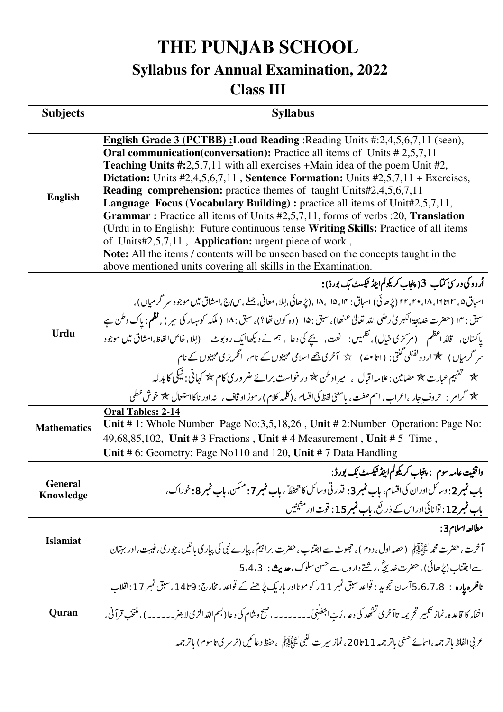**THE PUNJAB SCHOOL** 

# **Syllabus for Annual Examination, 2022**

### **Class III**

| <b>Subjects</b>             | <b>Syllabus</b>                                                                                                                                                                                                                                                                                                                                                                                                                                                                                                                                                                                                                                                                                                                                                                                                                                                                                                                         |
|-----------------------------|-----------------------------------------------------------------------------------------------------------------------------------------------------------------------------------------------------------------------------------------------------------------------------------------------------------------------------------------------------------------------------------------------------------------------------------------------------------------------------------------------------------------------------------------------------------------------------------------------------------------------------------------------------------------------------------------------------------------------------------------------------------------------------------------------------------------------------------------------------------------------------------------------------------------------------------------|
| <b>English</b>              | <b>English Grade 3 (PCTBB): Loud Reading: Reading Units #:2,4,5,6,7,11 (seen),</b><br>Oral communication(conversation): Practice all items of Units #2,5,7,11<br><b>Teaching Units #:</b> 2,5,7,11 with all exercises +Main idea of the poem Unit #2,<br><b>Dictation:</b> Units $#2,4,5,6,7,11$ , <b>Sentence Formation:</b> Units $#2,5,7,11$ + Exercises,<br><b>Reading comprehension:</b> practice themes of taught Units#2,4,5,6,7,11<br><b>Language Focus (Vocabulary Building):</b> practice all items of Unit#2,5,7,11,<br><b>Grammar</b> : Practice all items of Units #2,5,7,11, forms of verbs :20, <b>Translation</b><br>(Urdu in to English): Future continuous tense Writing Skills: Practice of all items<br>of Units#2,5,7,11, Application: urgent piece of work,<br>Note: All the items / contents will be unseen based on the concepts taught in the<br>above mentioned units covering all skills in the Examination. |
| Urdu                        | اُردو کی درسی کتاب  3( پنجاب کریکولم اینڈ ٹیکسٹ بک بورڈ) :<br>اسباق ۵، ۱۶ تا ۱۹، ۲۰، ۲۲ (پڑھائی) اسباق : ۱۴، ۱۵، ۱۸، (پڑھائی،اِملا، معانی، جملے، سارج،امشاق میں موجود سر گرمیاں)،<br>سبق : ١٢ (حضرت خديجة الكبر بي رضي الله تعالى عنهما)، سبق : ١۵ (وه كون نفا؟)، سبق : ١٨ ( ملكه كوبهبار كي سير ) , نظم: ياك وطن ہے<br>پاکستان، قائد اعظم (مرکزی خیال)، نظمیں:    نعت،    پیچے کی دعا  ، ہم نے دیکھاایک روبوٹ      (اِملا، خاص الفاظ،امشاق میں موجود<br>سر گرمیاں ) سکے اردو لفظی گنتی : (اتا •مے) $\downarrow$ آخری پتھے اسلامی مہینوں کے نام، انگریزی مہینوں کے نام<br>* تفہیم عبارت * مضامین : علامہ اقبال   ،    میر اوطن * درخواست برائے ضر وری کام * کہانی : نیکی کا بدلہ<br>گلهه گرامر : حروف جار ،اعراب ، اسم صفت ، بامعنی لفظ کیااقسام ، (کلمه کلام ) ر موز او قاف ،   نه اور ناکااستعال چله خوش خطی                                                                                                                          |
| <b>Mathematics</b>          | Oral Tables: 2-14<br>Unit # 1: Whole Number Page No:3,5,18,26, Unit # 2: Number Operation: Page No:<br>49,68,85,102, Unit # 3 Fractions, Unit # 4 Measurement, Unit # 5 Time,<br>Unit # 6: Geometry: Page No110 and 120, Unit # 7 Data Handling                                                                                                                                                                                                                                                                                                                                                                                                                                                                                                                                                                                                                                                                                         |
| General<br><b>Knowledge</b> | واقفیت عامہ سوم  : پنجاب کریکولم ایپڈ ٹیکسٹ بُک بورڈ :<br>باب نمبر 2: دسائل اوران کی اقسام، باب نمبر 3: قدر تی وسائل کا تحفظٌ ، باب نمبر 7: مسکن، باب نمبر 8: خوراک،<br>باب نمبر 12 : توانائی اور اس کے ذرائع، باب نمبر 15 : قوت اور مشینیں                                                                                                                                                                                                                                                                                                                                                                                                                                                                                                                                                                                                                                                                                             |
| <b>Islamiat</b>             | مطالعه اسلام3:<br>آخرت، حضرت محمه لِتَّألِيَّةٍ (حصه اول، دوم)، حجوٹ سے اجتناب ،حضرت ابراتیمؓ ، پیارے نبی کی پیار کی باتیں، چوری، غیبت، اور بہتان<br>سے اجتناب (پڑھائی) ، حفرت <i>خد پچ</i> ؓ ، رشتے داروں سے <sup>حسن سلوک ، <b>حدیث :</b>   5،4،3</sup>                                                                                                                                                                                                                                                                                                                                                                                                                                                                                                                                                                                                                                                                               |
| Quran                       | ناظرہ پارہ :   3،7،8،5 آسان تجوید : قواعد سبق نمبر 11 ر کو موٹااور باریک پڑھنے کے قواعد ،مخارج : 9تا14 ، سبق نمبر 17 : اقلاب<br>اخفاء کا قاعده ، نماز تکبیر تحریمه تاآخری تشھد کی دعا ،رَبّ اجْعَلَنِیۡ۔۔۔۔۔۔۔۔، صبح وشام کی دعا (بسم الله الزیالايفر۔۔۔۔۔۔) ، منتخب قرآنی ،<br>عر بي الفاظ باتر جمه ،اسمائے حسنی باتر جمه 11 تا 20، نماز سیر ت النبی لٹنی لیکن جفظ دعائمیں (نرسر ی تاسوم) باتر جمه                                                                                                                                                                                                                                                                                                                                                                                                                                                                                                                                     |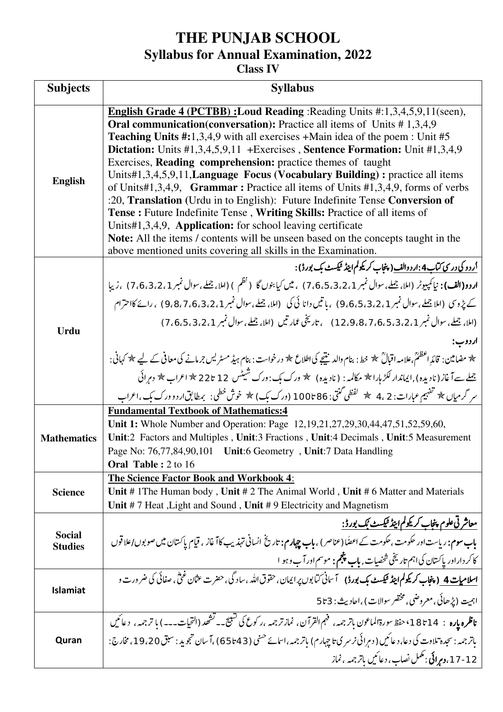#### **Class IV**

| <b>Subjects</b>                 | <b>Syllabus</b>                                                                                                                                                                                                                                                                                                                                                                                                                                                                                                                                                                                                                                                                                                                                                                                                                                                                                                                                                    |  |
|---------------------------------|--------------------------------------------------------------------------------------------------------------------------------------------------------------------------------------------------------------------------------------------------------------------------------------------------------------------------------------------------------------------------------------------------------------------------------------------------------------------------------------------------------------------------------------------------------------------------------------------------------------------------------------------------------------------------------------------------------------------------------------------------------------------------------------------------------------------------------------------------------------------------------------------------------------------------------------------------------------------|--|
| <b>English</b>                  | English Grade 4 (PCTBB) : Loud Reading : Reading Units #:1,3,4,5,9,11(seen),<br><b>Oral communication(conversation):</b> Practice all items of Units #1,3,4,9<br><b>Teaching Units #:</b> 1,3,4,9 with all exercises $+$ Main idea of the poem : Unit #5<br>Dictation: Units #1,3,4,5,9,11 + Exercises, Sentence Formation: Unit #1,3,4,9<br>Exercises, <b>Reading comprehension:</b> practice themes of taught<br>Units#1,3,4,5,9,11, Language Focus (Vocabulary Building): practice all items<br>of Units#1,3,4,9, Grammar: Practice all items of Units #1,3,4,9, forms of verbs<br>:20, Translation (Urdu in to English): Future Indefinite Tense Conversion of<br>Tense: Future Indefinite Tense, Writing Skills: Practice of all items of<br>Units#1,3,4,9, Application: for school leaving certificate<br>Note: All the items / contents will be unseen based on the concepts taught in the<br>above mentioned units covering all skills in the Examination. |  |
| <b>Urdu</b>                     | ار دو کی در سی کتاب 4 :ار د والف( پنجاب کریکولم اینڈ ٹیکسٹ بک بورڈ ) :<br>اردو(الف): نياكمپيوٹر (املا، جملے، سوال نمبر 7،6،5،3،21 ) ، میں كيا بنوں گا (نظم ) (املا، جملے، سوال نمبر 7،6،3،2،1 ) ،زيبا<br>کے پڑوسی (املا جملے،سوال نمبر 9،6،5،3،21) ، باتیں دانا ئی کی (املا، جملے،سوال نمبر 9،8،7،6،3،21) ، رائے کااحترام<br>اردوب:<br>* مضامین : قائدِ اعظمؒ،علامہ اقبالؒ * خط: بنام والدینیچے کی اطلاع * درخواست : بنام ہیڈ مسٹریس جرمانے کی معافی کے لیے * کہانی:<br>جملے سےآغاز (نادیدہ) ,ایماندار لکڑ ہارا ۞ مکالمہ : (نادیدہ) ﴾ ورک بک :ورک شیٹس 12 تا22 ۞ اعراب ۞ دہرائی<br>سر گرمیاں * تفہیم عبارات: 2 ،4 ﴾ لفظی گنتی: 86 تا 100 (ورک بک) * خوش خطی: بمطابق ار دو ورک بک ،اعراب                                                                                                                                                                                                                                                                            |  |
| <b>Mathematics</b>              | <b>Fundamental Textbook of Mathematics:4</b><br>Unit 1: Whole Number and Operation: Page 12,19,21,27,29,30,44,47,51,52,59,60,<br>Unit:2 Factors and Multiples, Unit:3 Fractions, Unit:4 Decimals, Unit:5 Measurement<br>Page No: 76,77,84,90,101 Unit:6 Geometry, Unit:7 Data Handling<br><b>Oral Table: 2 to 16</b>                                                                                                                                                                                                                                                                                                                                                                                                                                                                                                                                                                                                                                               |  |
| <b>Science</b>                  | <b>The Science Factor Book and Workbook 4:</b><br>Unit #1The Human body, Unit #2 The Animal World, Unit #6 Matter and Materials<br>Unit #7 Heat, Light and Sound, Unit #9 Electricity and Magnetism                                                                                                                                                                                                                                                                                                                                                                                                                                                                                                                                                                                                                                                                                                                                                                |  |
| <b>Social</b><br><b>Studies</b> | <u>معاشر ئى علوم پنجاب كريگولم اينڈ ٹیکسٹ ئِک بورڈ :</u><br>باب سوم: ریاست اور حکومت، حکومت کے اعضًا(عناصر ) ، باب چہارم: تاریخ انسانی تہذیب کاآ غاز ، قیام پاکستان میں صوبوں/علاقوں<br>کاکر دار اور پاکستان کی اہم تاریخی شخصیات , ماپ پنجم : موسم اور آب و ہو ا                                                                                                                                                                                                                                                                                                                                                                                                                                                                                                                                                                                                                                                                                                  |  |
| <b>Islamiat</b>                 | <u>اسلامیات 4_(پنجاب کریک</u> ولم ایپڈ ٹیکسٹ بک بورڈ)    آسانی کیابوں پر ایمان ، حقوق اللہ ، ساد گی ، حضرت عثان غنّی ، صفائی کی ضرورت و<br>اہمیت (پڑھائی، معروضی، مختصر سوالات) ،احادیث: 5 تا 5                                                                                                                                                                                                                                                                                                                                                                                                                                                                                                                                                                                                                                                                                                                                                                    |  |
| Quran                           | <b>ناظره یاره</b> :  18تا 18°، حفظ سورةالماعون باتر جمه، فهم القرآن، نمازتر جمه ،ر کوع کی تشیح۔- تشحد (التح <u>یا</u> ت۔۔۔) با ترجمہ،  دعائیں<br>باتر جمہ : سجدہ تلاوت کی دعا، دعائیں ( دہرائی نرسر ی تاجہارم) باتر جمہ،اسائے حسنی (43 تا 65) ،آسان تجوید : سبق 19،20، مخارج :<br>  12-17، دمرائی : مکمل نصاب، دعائمیں باتر جمہ ، نماز                                                                                                                                                                                                                                                                                                                                                                                                                                                                                                                                                                                                                             |  |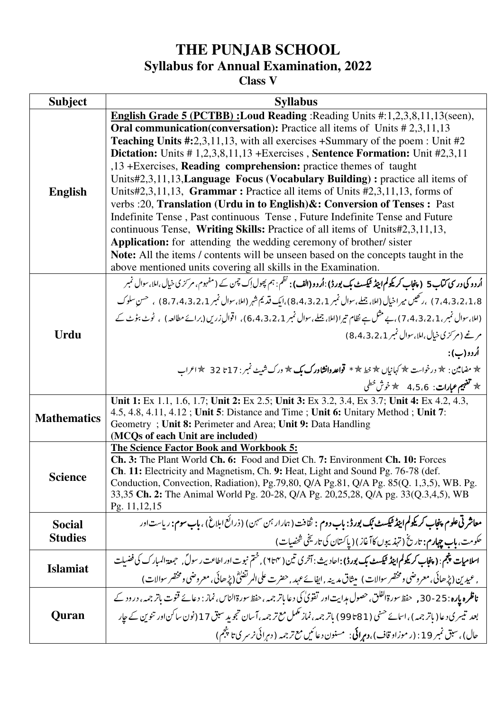**Class V** 

| <b>Subject</b>     | <b>Syllabus</b>                                                                                                                                   |
|--------------------|---------------------------------------------------------------------------------------------------------------------------------------------------|
|                    | English Grade 5 (PCTBB) : Loud Reading : Reading Units #:1,2,3,8,11,13(seen),                                                                     |
|                    | <b>Oral communication(conversation):</b> Practice all items of Units $\#2,3,11,13$                                                                |
|                    | <b>Teaching Units #:</b> 2,3,11,13, with all exercises $+$ Summary of the poem : Unit #2                                                          |
|                    | Dictation: Units #1,2,3,8,11,13 + Exercises, Sentence Formation: Unit #2,3,11                                                                     |
|                    | ,13 +Exercises, Reading comprehension: practice themes of taught                                                                                  |
|                    | Units#2,3,11,13, Language Focus (Vocabulary Building): practice all items of                                                                      |
| <b>English</b>     | Units#2,3,11,13, Grammar: Practice all items of Units #2,3,11,13, forms of                                                                        |
|                    | verbs : 20, Translation (Urdu in to English) &: Conversion of Tenses : Past                                                                       |
|                    | Indefinite Tense, Past continuous Tense, Future Indefinite Tense and Future                                                                       |
|                    | continuous Tense, Writing Skills: Practice of all items of Units#2,3,11,13,                                                                       |
|                    | Application: for attending the wedding ceremony of brother/sister                                                                                 |
|                    | Note: All the items / contents will be unseen based on the concepts taught in the                                                                 |
|                    | above mentioned units covering all skills in the Examination.                                                                                     |
|                    | اُردو کی درسی کتاب 5 ( پنجاب کریکولم اینڈ ٹیکسٹ بک بورڈ ) :اُردو (الف) : نظم : ہم پھول اِک چمن کے ( مفہوم، مرکز ی خیال،امل سوال نمبر              |
|                    | 8،2،1،8،2،1، ) ،رڪيس ميراخيال (املا،جملے،سوال نمبر 8،4،3،2،1)،ايک قديم شہر (املا،سوال نمبر 1،4،3،2،1) ، حسن سلوك                                  |
|                    | (املا،سوال نمبر، 1، 4،3،2، 7)، بے مثل ہے نظام تیرا(املا، جملے،سوال نمبر 1،2،2،1،6) ، اقوالِ زریں(برائے مطالعہ) ، ٹوٹ بٹوٹ کے                      |
| <b>Urdu</b>        | مرغے (مرکزی خیال،امل سوال نمبر 1 ، 2 ، 4 ، 8)                                                                                                     |
|                    | اُردو(ب):                                                                                                                                         |
|                    | * مضامین : * درخواست * کهانیاں * خط * * <b>قواعدوانشاورک بک</b> * ورک شبیٹ نمبر : 17 تا 32   * اعراب                                              |
|                    | $\star$ تفہیم عبارات : 4،5،6 $\star$ خوش خطی $\star$                                                                                              |
|                    | Unit 1: Ex 1.1, 1.6, 1.7; Unit 2: Ex 2.5; Unit 3: Ex 3.2, 3.4, Ex 3.7; Unit 4: Ex 4.2, 4.3,                                                       |
| <b>Mathematics</b> | 4.5, 4.8, 4.11, 4.12; Unit 5: Distance and Time; Unit 6: Unitary Method; Unit 7:                                                                  |
|                    | Geometry; Unit 8: Perimeter and Area; Unit 9: Data Handling<br>(MCQs of each Unit are included)                                                   |
|                    | The Science Factor Book and Workbook 5:                                                                                                           |
|                    | <b>Ch. 3:</b> The Plant World <b>Ch. 6:</b> Food and Diet Ch. 7: Environment <b>Ch. 10:</b> Forces                                                |
|                    | <b>Ch. 11:</b> Electricity and Magnetism, Ch. 9: Heat, Light and Sound Pg. 76-78 (def.                                                            |
| <b>Science</b>     | Conduction, Convection, Radiation), Pg.79,80, Q/A Pg.81, Q/A Pg. 85(Q. 1,3,5), WB. Pg.                                                            |
|                    | 33,35 Ch. 2: The Animal World Pg. 20-28, Q/A Pg. 20,25,28, Q/A pg. 33(Q.3,4,5), WB                                                                |
|                    | Pg. 11, 12, 15                                                                                                                                    |
| <b>Social</b>      | مع <b>اشر تی علوم پنجاب کریکولم اینڈ ٹیکسٹ بُک بورڈ : باب دوم  :</b> ثقافت ( ہمارار <sup>ہ</sup> ن سہن) (ذرائع ابلاغ) ، <b>باب سوم:</b> ریاست اور |
| <b>Studies</b>     | حكومت، ماب جهارم: تاريخ (تهذيبوں كاآغاز) ( پاكستان كى تاريخي شخصيات)                                                                              |
|                    | اسلامیات پنجم: ( پنجاب کریکولم اینڈ میکسٹ بک بورڈ ) :احادیث : آخری تین ( ۲تا۲ ) , ختم نبوت اور اطاعت ر سولؐ , حجمعة المبارک کی فضیلت              |
| <b>Islamiat</b>    | , عيدين (پڑھائی،معروضی ومختصر سوالات) پیثاق مدینہ ,ایفائے عہد ,حضرت علی المرتضیٰؓ (پڑھائی، معروضی ومختصر سوالات)                                  |
|                    | <b>ناظرہ پارہ: 25-30,</b> حفظ سورةالفلق، حصول مدایت اور تفویٰ کی دعا باتر جمہ ، حفظ سورةالناس، نماز : دعائے قنوت باتر جمہ ، درود کے               |
| Quran              | بعد تیسر ی دعا ( باتر جمہ ) ، اسمائے حسی ( 81 تا 99) باتر جمہ، نماز مکمل مع تر جمہ،آسان تجوید سبق 17 (نون ساکن اور تنوین کے جار                   |
|                    | حال) ، سبق نمبر 19 : (رموزاد قاف)،دمړائي:   مسنون دعائيں مع تر جمه ( دېرائي نرسر ي تا پنجم)                                                       |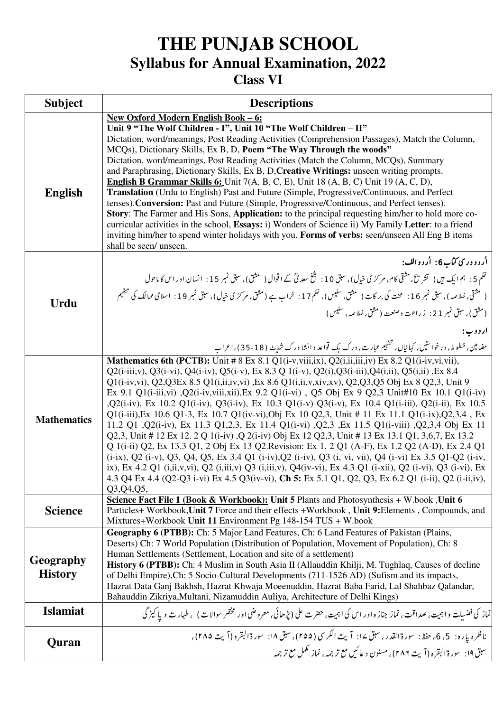### **Class VI**

| <b>Subject</b>              | <b>Descriptions</b>                                                                                                                                                                                                                                                                                                                                                                                                                                                                                                                                                                                                                                                                                                                                                                                                                                                                                                                                                                                                                                                                                                                                                                                                                                                                                                                   |
|-----------------------------|---------------------------------------------------------------------------------------------------------------------------------------------------------------------------------------------------------------------------------------------------------------------------------------------------------------------------------------------------------------------------------------------------------------------------------------------------------------------------------------------------------------------------------------------------------------------------------------------------------------------------------------------------------------------------------------------------------------------------------------------------------------------------------------------------------------------------------------------------------------------------------------------------------------------------------------------------------------------------------------------------------------------------------------------------------------------------------------------------------------------------------------------------------------------------------------------------------------------------------------------------------------------------------------------------------------------------------------|
| <b>English</b>              | New Oxford Modern English Book - 6:<br>Unit 9 "The Wolf Children - I", Unit 10 "The Wolf Children - II"<br>Dictation, word/meanings, Post Reading Activities (Comprehension Passages), Match the Column,<br>MCQs), Dictionary Skills, Ex B, D, Poem "The Way Through the woods"<br>Dictation, word/meanings, Post Reading Activities (Match the Column, MCQs), Summary<br>and Paraphrasing, Dictionary Skills, Ex B, D, Creative Writings: unseen writing prompts.<br><b>English B Grammar Skills 6:</b> Unit 7(A, B, C, E), Unit 18 (A, B, C) Unit 19 (A, C, D),<br>Translation (Urdu to English) Past and Future (Simple, Progressive/Continuous, and Perfect<br>tenses). Conversion: Past and Future (Simple, Progressive/Continuous, and Perfect tenses).<br><b>Story:</b> The Farmer and His Sons, <b>Application:</b> to the principal requesting him/her to hold more co-<br>curricular activities in the school, Essays: i) Wonders of Science ii) My Family Letter: to a friend<br>inviting him/her to spend winter holidays with you. Forms of verbs: seen/unseen All Eng B items<br>shall be seen/ unseen.                                                                                                                                                                                                                 |
| <b>Urdu</b>                 | اُردو در ې کتاب6: اُردوالف:<br>نظم 5 : ہم ایک ہیں ( تشریح، مشقی کام، مرکز ی خیال)، سبق 10 : شخ سعد پؓ کے اقوال ( مشق)، سبق نمبر 15 : انسان اور اس کا ماحول<br>( مشقی، خلاصہ )، سبق نمبر 16 :   محت کی بر کات (   مثق، سلیس)، نظم 17 :   خراب ہے (مثق، مر کز کی خیال)، سبق نمبر 19 :   اسلامی ممالک کی تنظیم<br>(مثق)، سبق نمبر 21 :  زراعت وصنعت ( مثق، خلاصه، سليس)<br>ار د وب:<br>مفیامین، خطوط، درخواستیں، کہانیاں، تفہیم عبارت، ورک بک قواعد وانشا ورک شہیٹ (18-35)، اعراب                                                                                                                                                                                                                                                                                                                                                                                                                                                                                                                                                                                                                                                                                                                                                                                                                                                        |
| <b>Mathematics</b>          | <b>Mathematics 6th (PCTB):</b> Unit #8 Ex 8.1 Q1(i-v, viii, ix), $\overline{Q2(i, ii, iii, iv)}$ Ex 8.2 Q1(i-iv, vi, vii),<br>$Q2(i-iii,y), Q3(i-vi), Q4(i-iv), Q5(i-v), Ex 8.3 Q 1(i-v), Q2(i), Q3(i-iii), Q4(i,ii), Q5(i,ii)$ , Ex 8.4<br>Q1(i-iv,vi), Q2,Q3Ex 8.5 Q1(i,ii,iv,vi), Ex 8.6 Q1(i,ii,v,xiv,xv), Q2,Q3,Q5 Obj Ex 8 Q2,3, Unit 9<br>Ex 9.1 Q1(i-iii,vi) , Q2(i-iv,viii,xii), Ex 9.2 Q1(i-vi), Q5 Obj Ex 9 Q2,3 Unit#10 Ex 10.1 Q1(i-iv)<br>,Q2(i-iv), Ex 10.2 Q1(i-iv), Q3(i-iv), Ex 10.3 Q1(i-v) Q3(i-v), Ex 10.4 Q1(i-iii), Q2(i-ii), Ex 10.5<br>Q1(i-iii), Ex 10.6 Q1-3, Ex 10.7 Q1(iv-vi), Obj Ex 10 Q2,3, Unit # 11 Ex 11.1 Q1(i-ix), Q2,3,4, Ex<br>11.2 Q1 ,Q2(i-iv), Ex 11.3 Q1,2,3, Ex 11.4 Q1(i-vi) ,Q2,3 ,Ex 11.5 Q1(i-viii) ,Q2,3,4 Obj Ex 11<br>Q2,3, Unit # 12 Ex 12. 2 Q 1(i-iv), Q 2(i-iv) Obj Ex 12 Q2,3, Unit # 13 Ex 13.1 Q1, 3,6,7, Ex 13.2<br>Q 1(i-ii) Q2, Ex 13.3 Q1, 2 Obj Ex 13 Q2. Revision: Ex 1. 2 Q1 (A-F), Ex 1.2 Q2 (A-D), Ex 2.4 Q1<br>(i-ix), Q2 (i-v), Q3, Q4, Q5, Ex 3.4 Q1 (i-iv), Q2 (i-iv), Q3 (i, vi, vii), Q4 (i-vi) Ex 3.5 Q1-Q2 (i-iv,<br>ix), Ex 4.2 Q1 (i,ii,v,vi), Q2 (i,iii,v) Q3 (i,iii,v), Q4(iv-vi), Ex 4.3 Q1 (i-xii), Q2 (i-vi), Q3 (i-vi), Ex<br>4.3 Q4 Ex 4.4 (Q2-Q3 i-vi) Ex 4.5 Q3(iv-vi), Ch 5: Ex 5.1 Q1, Q2, Q3, Ex 6.2 Q1 (i-ii), Q2 (i-ii,iv),<br>Q3, Q4, Q5, |
| <b>Science</b>              | Science Fact File 1 (Book & Workbook): Unit 5 Plants and Photosynthesis + W.book, Unit 6<br>Particles+ Workbook, Unit 7 Force and their effects + Workbook, Unit 9: Elements, Compounds, and<br>Mixtures+Workbook Unit 11 Environment Pg 148-154 TUS + W.book                                                                                                                                                                                                                                                                                                                                                                                                                                                                                                                                                                                                                                                                                                                                                                                                                                                                                                                                                                                                                                                                         |
| Geography<br><b>History</b> | Geography 6 (PTBB): Ch: 5 Major Land Features, Ch: 6 Land Features of Pakistan (Plains,<br>Deserts) Ch: 7 World Population (Distribution of Population, Movement of Population), Ch: 8<br>Human Settlements (Settlement, Location and site of a settlement)<br>History 6 (PTBB): Ch: 4 Muslim in South Asia II (Allauddin Khilji, M. Tughlaq, Causes of decline<br>of Delhi Empire), Ch: 5 Socio-Cultural Developments (711-1526 AD) (Sufism and its impacts,<br>Hazrat Data Ganj Bakhsh, Hazrat Khwaja Moeenuddin, Hazrat Baba Farid, Lal Shahbaz Qalandar,<br>Bahauddin Zikriya, Multani, Nizamuddin Auliya, Architecture of Delhi Kings)                                                                                                                                                                                                                                                                                                                                                                                                                                                                                                                                                                                                                                                                                           |
| <b>Islamiat</b>             | نماز کی فضیلت و اہمیت، صداقت ، نماز جناز ہ اور اس کی اہمیت، حضرت علی (پڑھائی، معروضی اور مختصر سوالات ) ، طہار ت و یا کیز گی                                                                                                                                                                                                                                                                                                                                                                                                                                                                                                                                                                                                                                                                                                                                                                                                                                                                                                                                                                                                                                                                                                                                                                                                          |
| Quran                       | ناظره ياره: 5، 6، حفظ: سورة القدر، سبق ١٤: آيت الكرسي (٢٥٥)، سبق ١٨: سورة البقره (آيت ٢٨٥)،<br>سبق ١٩: _سورة البقره (آيت ٢٨٦) ، مسنون د عائيں مع ترجمه ، نماز عمل مع ترجمه                                                                                                                                                                                                                                                                                                                                                                                                                                                                                                                                                                                                                                                                                                                                                                                                                                                                                                                                                                                                                                                                                                                                                            |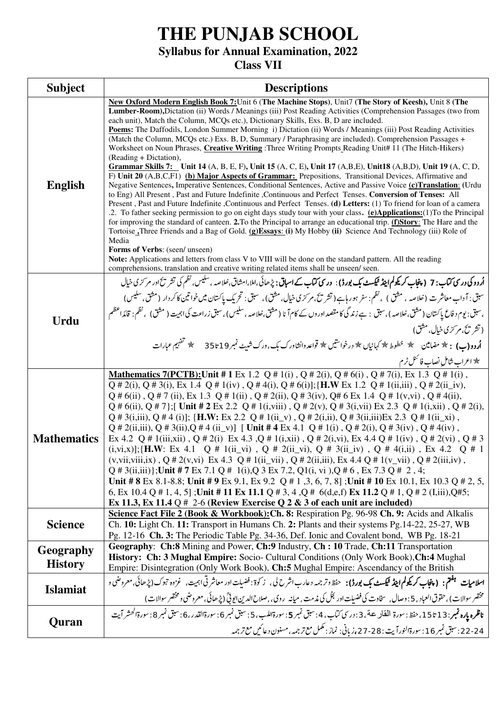# **THE PUNJAB SCHOOL**

### **Syllabus for Annual Examination, 2022**

### **Class VII**

| <b>Subject</b>              | <b>Descriptions</b>                                                                                                                                                                                                                                                                                                                                                                                                                                                                                                                                                                                                                                                                                                                                                                                                                                                                                                                                                                                                                                                                                                                                                                                                                                                                                                                                                                                                                                                                                                                                                                                                                                                                                                                                                                            |  |
|-----------------------------|------------------------------------------------------------------------------------------------------------------------------------------------------------------------------------------------------------------------------------------------------------------------------------------------------------------------------------------------------------------------------------------------------------------------------------------------------------------------------------------------------------------------------------------------------------------------------------------------------------------------------------------------------------------------------------------------------------------------------------------------------------------------------------------------------------------------------------------------------------------------------------------------------------------------------------------------------------------------------------------------------------------------------------------------------------------------------------------------------------------------------------------------------------------------------------------------------------------------------------------------------------------------------------------------------------------------------------------------------------------------------------------------------------------------------------------------------------------------------------------------------------------------------------------------------------------------------------------------------------------------------------------------------------------------------------------------------------------------------------------------------------------------------------------------|--|
| <b>English</b>              | New Oxford Modern English Book 7: Unit 6 (The Machine Stops), Unit7 (The Story of Keesh), Unit 8 (The<br>Lumber-Room), Dictation (ii) Words / Meanings (iii) Post Reading Activities (Comprehension Passages (two from<br>each unit), Match the Column, MCQs etc.), Dictionary Skills, Exs. B, D are included.<br>Poems: The Daffodils, London Summer Morning i) Dictation (ii) Words / Meanings (iii) Post Reading Activities<br>(Match the Column, MCQs etc.) Exs. B, D, Summary / Paraphrasing are included). Comprehension Passages +<br>Worksheet on Noun Phrases, Creative Writing: Three Writing Prompts Reading Unit# 11 (The Hitch-Hikers)<br>(Reading + Dictation),<br>Grammar Skills 7: Unit 14 (A, B, E, F), Unit 15 (A, C, E), Unit 17 (A, B, E), Unit 18 (A, B, D), Unit 19 (A, C, D,<br>F) Unit 20 (A,B,C,F1) (b) Major Aspects of Grammar: Prepositions, Transitional Devices, Affirmative and<br>Negative Sentences, Imperative Sentences, Conditional Sentences, Active and Passive Voice (c)Translation: (Urdu<br>to Eng) All Present, Past and Future Indefinite, Continuous and Perfect Tenses. Conversion of Tenses: All<br>Present, Past and Future Indefinite, Continuous and Perfect Tenses. (d) Letters: (1) To friend for loan of a camera<br>.2. To father seeking permission to go on eight days study tour with your class. (e)Applications: (1) To the Principal<br>for improving the standard of canteen. 2.To the Principal to arrange an educational trip. (f)Story: The Hare and the<br>Tortoise_Three Friends and a Bag of Gold. (g)Essays: (i) My Hobby (ii) Science And Technology (iii) Role of<br>Media<br>Forms of Verbs: (seen/ unseen)<br>Note: Applications and letters from class V to VIII will be done on the standard pattern. All the reading |  |
|                             | comprehensions, translation and creative writing related items shall be unseen/ seen.                                                                                                                                                                                                                                                                                                                                                                                                                                                                                                                                                                                                                                                                                                                                                                                                                                                                                                                                                                                                                                                                                                                                                                                                                                                                                                                                                                                                                                                                                                                                                                                                                                                                                                          |  |
| Urdu                        | ا <b>ُردوکی درسی کتاب: 7 ( پنجاب کریکولم اینڈ ٹیکسٹ بک بورڈ)</b> : <b>درسی کتاب کے اسباق:</b> پڑھائی،املا،امشاق،خلاصہ ،سلیس، نظم کی تشر ت <sup>ح</sup> اور مرکز کی خیال<br>سبق: آداب معاشرت (خلاصہ ، مثق ) ، نظم: سفر ہورہاہے(تشریح،مرکزی خیال، مثق)، سبق: تحریک پاکستان میں خواتین کاکردار (مثق، سلیس)<br>،سبق: یوم دفاع پاکستان (مشق،خلاصہ )،سبق : ہے زندگی کامقصد اوروں کے کام آنا ( مشق،خلاصہ ،سلیس) ،سبق زراعت کیاہیت ( مشق) ، نظم: قائداعظم                                                                                                                                                                                                                                                                                                                                                                                                                                                                                                                                                                                                                                                                                                                                                                                                                                                                                                                                                                                                                                                                                                                                                                                                                                                                                                                                              |  |
|                             | (تشریح،مر َرُی خیال، مثق)<br>۔<br><b>اُردو(ب) :</b> ﴿ مضامین ﴾ خطوط ۞ کہانیاں ۞ درخواستیں ۞ قواعد وانشاورک بک، ورک شیٹ نمبر19 تا 55 ﴾ تفہیم عبارات<br><del>*</del> اعراب شامل نصاب فا <sup>ئمن</sup> ل ٹرم                                                                                                                                                                                                                                                                                                                                                                                                                                                                                                                                                                                                                                                                                                                                                                                                                                                                                                                                                                                                                                                                                                                                                                                                                                                                                                                                                                                                                                                                                                                                                                                     |  |
| <b>Mathematics</b>          | <b>Mathematics 7(PCTB):</b> Unit # 1 Ex 1.2 Q # 1(i), Q # 2(i), Q # 6(i), Q # 7(i), Ex 1.3 Q # 1(i),<br>$Q \# 2(i)$ , $Q \# 3(i)$ , Ex 1.4 $Q \# 1(iv)$ , $Q \# 4(i)$ , $Q \# 6(i)$ ; { <b>H.W</b> Ex 1.2 $Q \# 1(i, iii)$ , $Q \# 2(ii$ <sub>1</sub> iv),<br>$Q#6(ii)$ , $Q#7(ii)$ , Ex 1.3 $Q#1(ii)$ , $Q#2(ii)$ , $Q#3(iv)$ , $Q#6$ Ex 1.4 $Q#1(v,vi)$ , $Q#4(ii)$ ,<br>$Q \# 6$ (ii), $Q \# 7$ }; Unit $\# 2$ Ex 2.2 $Q \# 1$ (i, viii), $Q \# 2$ (v), $Q \# 3$ (i, vii) Ex 2.3 $Q \# 1$ (i, xii), $Q \# 2$ (i),<br>$Q \# 3(i,iii)$ , $Q \# 4(i)$ ]; { <b>H.W</b> : Ex 2.2 $Q \# 1(ii \ y)$ , $Q \# 2(i,ii)$ , $Q \# 3(ii,iii)$ Ex 2.3 $Q \# 1(ii \ xi)$ ,<br>Q # 2(ii,iii), Q # 3(ii), Q # 4 (ii_v)] [ Unit # 4 Ex 4.1 Q # 1(i), Q # 2(i), Q # 3(iv), Q # 4(iv),<br>Ex 4.2 Q # 1(iii,xii), Q # 2(i) Ex 4.3, Q # 1(i,xii), Q # 2(i,vi), Ex 4.4 Q # 1(iv), Q # 2(vi), Q # 3<br>$(i,vi,x)]$ ; {H.W: Ex 4.1 Q # 1(ii_vi), Q # 2(ii_vi), Q # 3(ii_iv), Q # 4(i,ii), Ex 4.2 Q # 1<br>(v,vii,viii,ix), Q # 2(v,vi) Ex 4.3 Q # 1(ii_vii), Q # 2(ii,iii), Ex 4.4 Q # 1(v_vii), Q # 2(iii,iv),<br>Q # 3(ii,iii)}; Unit # 7 Ex 7.1 Q # 1(i), Q 3 Ex 7.2, Q1(i, vi), Q # 6, Ex 7.3 Q # 2, 4;<br>Unit # 8 Ex 8.1-8.8; Unit # 9 Ex 9.1, Ex 9.2 Q # 1, 3, 6, 7, 8]; Unit # 10 Ex 10.1, Ex 10.3 Q # 2, 5,<br>6, Ex 10.4 Q # 1, 4, 5]; Unit # 11 Ex 11.1 Q # 3, 4, Q # 6(d,e,f) Ex 11.2 Q # 1, Q # 2 (I,iii), Q#5;<br>Ex 11.3, Ex 11.4 Q $\#$ 2-6 (Review Exercise Q 2 & 3 of each unit are included)                                                                                                                                                                                                                                                                                                      |  |
| <b>Science</b>              | Science Fact File 2 (Book & Workbook): Ch. 8: Respiration Pg. 96-98 Ch. 9: Acids and Alkalis<br>Ch. 10: Light Ch. 11: Transport in Humans Ch. 2: Plants and their systems Pg. 14-22, 25-27, WB<br>Pg. 12-16 Ch. 3: The Periodic Table Pg. 34-36, Def. Ionic and Covalent bond, WB Pg. 18-21                                                                                                                                                                                                                                                                                                                                                                                                                                                                                                                                                                                                                                                                                                                                                                                                                                                                                                                                                                                                                                                                                                                                                                                                                                                                                                                                                                                                                                                                                                    |  |
| Geography<br><b>History</b> | Geography: Ch:8 Mining and Power, Ch:9 Industry, Ch:10 Trade, Ch:11 Transportation<br>History: Ch: 3 Mughal Empire: Socio- Cultural Conditions (Only Work Book), Ch: 4 Mughal<br>Empire: Disintegration (Only Work Book), Ch:5 Mughal Empire: Ascendancy of the British                                                                                                                                                                                                                                                                                                                                                                                                                                                                                                                                                                                                                                                                                                                                                                                                                                                                                                                                                                                                                                                                                                                                                                                                                                                                                                                                                                                                                                                                                                                        |  |
| <b>Islamiat</b>             | <b>اسلامیات ت<sup>فقتم</sup> : (پنجاب کریکولم اینڈ ٹیکسٹ بک بورڈ) :</b> حفظ وترجمہ دعارب اشرح لی ، زکوة : فضیلت اور معاشر تی ابیت، غزوہ تبوک(پڑھائی،معروضی و<br>مختصر سوالات) ،حقوق العباد , 5 : وصال , سخاوت کی فضیلت اور لجل کی مذمت , میانه _روی , صلاح الدین ایوٹی (پڑھائی , معروضی و مختصر سوالات )                                                                                                                                                                                                                                                                                                                                                                                                                                                                                                                                                                                                                                                                                                                                                                                                                                                                                                                                                                                                                                                                                                                                                                                                                                                                                                                                                                                                                                                                                       |  |
| Quran                       | ناظره بإره فمبر: 13 تا15، حفظ: سورة الفاله عة، 3 : درسي كتاب، 4: سبق نمبر 5: سورةاللهب، 5: سبق نمبر 6: سبق نبر 8: سورةالحشر آيت<br>22-24: سېق نمبر 16: سورةالنوراً يت : 28-27، زياني: نماز : نمكمل مع ترجمه، مسنون د عائيل مع ترجمه                                                                                                                                                                                                                                                                                                                                                                                                                                                                                                                                                                                                                                                                                                                                                                                                                                                                                                                                                                                                                                                                                                                                                                                                                                                                                                                                                                                                                                                                                                                                                            |  |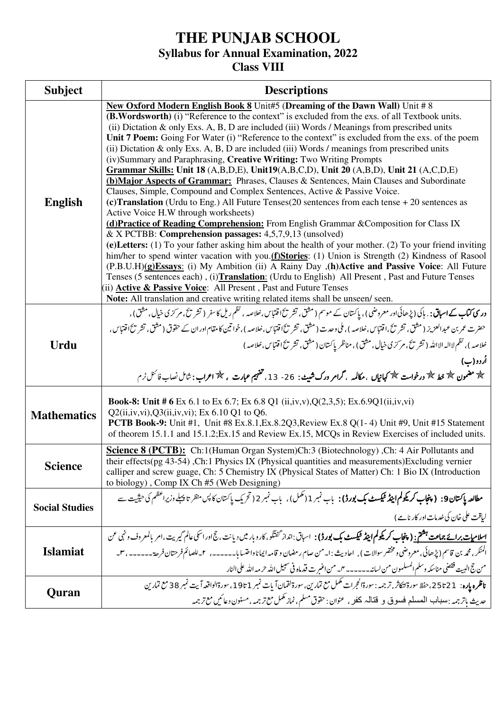### **Class VIII**

| <b>Subject</b>        | <b>Descriptions</b>                                                                                                                                                                                                                                                                                                                                                                                                                                                                                                                                                                                                                                                                                                                                                                                                                                                                                                                                                                                                                                                                                                                                                                                                                                                                                                                                                                                                                                                                                                                                                                                                                                                                                          |  |
|-----------------------|--------------------------------------------------------------------------------------------------------------------------------------------------------------------------------------------------------------------------------------------------------------------------------------------------------------------------------------------------------------------------------------------------------------------------------------------------------------------------------------------------------------------------------------------------------------------------------------------------------------------------------------------------------------------------------------------------------------------------------------------------------------------------------------------------------------------------------------------------------------------------------------------------------------------------------------------------------------------------------------------------------------------------------------------------------------------------------------------------------------------------------------------------------------------------------------------------------------------------------------------------------------------------------------------------------------------------------------------------------------------------------------------------------------------------------------------------------------------------------------------------------------------------------------------------------------------------------------------------------------------------------------------------------------------------------------------------------------|--|
| <b>English</b>        | New Oxford Modern English Book 8 Unit#5 (Dreaming of the Dawn Wall) Unit #8<br>(B.Wordsworth) (i) "Reference to the context" is excluded from the exs. of all Textbook units.<br>(ii) Dictation & only Exs. A, B, D are included (iii) Words / Meanings from prescribed units<br>Unit 7 Poem: Going For Water (i) "Reference to the context" is excluded from the exs. of the poem<br>(ii) Dictation & only Exs. A, B, D are included (iii) Words / meanings from prescribed units<br>(iv)Summary and Paraphrasing, Creative Writing: Two Writing Prompts<br>Grammar Skills: Unit 18 (A,B,D,E), Unit19(A,B,C,D), Unit 20 (A,B,D), Unit 21 (A,C,D,E)<br>(b) Major Aspects of Grammar: Phrases, Clauses & Sentences, Main Clauses and Subordinate<br>Clauses, Simple, Compound and Complex Sentences, Active & Passive Voice.<br>(c)Translation (Urdu to Eng.) All Future Tenses (20 sentences from each tense $+20$ sentences as<br>Active Voice H.W through worksheets)<br>(d) Practice of Reading Comprehension: From English Grammar & Composition for Class IX<br>& X PCTBB: Comprehension passages: $4,5,7,9,13$ (unsolved)<br>(e) Letters: (1) To your father asking him about the health of your mother. (2) To your friend inviting<br>him/her to spend winter vacation with you.(f)Stories: (1) Union is Strength (2) Kindness of Rasool<br>(P.B.U.H)(g)Essays: (i) My Ambition (ii) A Rainy Day , (h)Active and Passive Voice: All Future<br>Tenses (5 sentences each), (i)Translation: (Urdu to English) All Present, Past and Future Tenses<br>(ii) Active & Passive Voice: All Present, Past and Future Tenses<br>Note: All translation and creative writing related items shall be unseen/seen. |  |
| <b>Urdu</b>           | و <b>ری کتاب کے اسباق :</b> . ہاکی (پڑھائی اور معروضی ) ، پاکستان کے موسم ( مثق ، تشر تحاقتباس خلاصہ ، نظم ریل کاسفر ( تشر تح ، مر کری خیال ، مثق ) ،<br>حضرت عمر بن عبدالعزيز ( مثق، تشر تح،اقتباس،خلاصه )، ملى وحدت ( مثق، تشر ت $5$ اقتباس،خلاصه )،خواتنين كامقام اوران كے حقوق ( مثق، تشر ت $5$ اقتباس،<br>خلاصه )، نظم لااله الاالله ( تشر تحَ، مر كز ي خيال، مثق) ، مناظر پاكستان ( مثق ، تشر تحَ اقتباس،خلاصه )<br>اُردو (ب)<br>پھ مضمون پھر خط پھر درخواست چھ کہانیاں ،مکالمہ ، گرامر ورک شبیٹ : 26- 13، تفہیم عبارت ، چھ اعراب : شامل نصاب فائش ٹرم                                                                                                                                                                                                                                                                                                                                                                                                                                                                                                                                                                                                                                                                                                                                                                                                                                                                                                                                                                                                                                                                                                                                                 |  |
| <b>Mathematics</b>    | <b>Book-8:</b> Unit # 6 Ex 6.1 to Ex 6.7; Ex 6.8 Q1 (ii,iv,v), $Q(2,3,5)$ ; Ex.6.9Q1(ii,iv,vi)<br>$Q2(ii,iv,vi), Q3(ii,iv,vi);$ Ex 6.10 Q1 to Q6.<br><b>PCTB Book-9:</b> Unit #1, Unit #8 Ex.8.1, Ex.8.2Q3, Review Ex.8 Q(1-4) Unit #9, Unit #15 Statement<br>of theorem 15.1.1 and 15.1.2; Ex.15 and Review Ex.15, MCQs in Review Exercises of included units.                                                                                                                                                                                                                                                                                                                                                                                                                                                                                                                                                                                                                                                                                                                                                                                                                                                                                                                                                                                                                                                                                                                                                                                                                                                                                                                                              |  |
| <b>Science</b>        | <b>Science 8 (PCTB):</b> Ch:1(Human Organ System)Ch:3 (Biotechnology),Ch: 4 Air Pollutants and<br>their effects(pg 43-54), Ch:1 Physics IX (Physical quantities and measurements) Excluding vernier<br>calliper and screw guage, Ch: 5 Chemistry IX (Physical States of Matter) Ch: 1 Bio IX (Introduction<br>to biology), Comp IX Ch #5 (Web Designing)                                                                                                                                                                                                                                                                                                                                                                                                                                                                                                                                                                                                                                                                                                                                                                                                                                                                                                                                                                                                                                                                                                                                                                                                                                                                                                                                                     |  |
| <b>Social Studies</b> | مطالعہ پاک <b>سان9: ( پنجاب کریکولم اینڈ ٹیکسٹ بک بورڈ):</b> پاپ نمبر 1 (مکمل)،  پاپ نمبر 2 ( تحریک پاکستان کا پس منظر تا پہلے وزیراعظم کی حیثیت سے<br>لیاقت علی خان کی خدمات اور کار نامے )                                                                                                                                                                                                                                                                                                                                                                                                                                                                                                                                                                                                                                                                                                                                                                                                                                                                                                                                                                                                                                                                                                                                                                                                                                                                                                                                                                                                                                                                                                                 |  |
| <b>Islamiat</b>       | <u>اسلام<b>یات برائے جماعت ہشتم: ( پنجاب کریکولم اینڈ ٹیکسٹ بک بورڈ) :   اسباق :انداز گفتگو، کارو بار میں دیانت ، جج اور اسکی عالم گیریت ،امر بالمعروف و نہی عن</b></u><br>المنكر ، محمه بن قاسم (پڑھائی، معروضی ومختصر سوالات ) ,   احادیث : ا_من صام رمضان و قامه ایماناواحتسا با______ ، ٢_ للصائم فرحتان فرحة ______ ، ٣_<br>من جج البيت فقضى مناسكه وسلم المسلمون من لسانه _____ من اغسرت قدماه في سبيل الله حريمه الله على النار                                                                                                                                                                                                                                                                                                                                                                                                                                                                                                                                                                                                                                                                                                                                                                                                                                                                                                                                                                                                                                                                                                                                                                                                                                                                       |  |
| Quran                 | ناظره ياره:  21 تا25، حفظ سورة لتكاثر, ترجمه : سورةالحجرات مكمل مع تمارين، سورة لقمان آبات نمبر 1951، سورةالواقعه آيت نمبر 38 مع تمارين<br>حديث باتر جمه : ىبىباب المصلع فيبوق و قتاله كخو , عنوان : حقوق مسلم ، نماز مكمل مع ترجمه , مسنون دعائيں مع ترجمه                                                                                                                                                                                                                                                                                                                                                                                                                                                                                                                                                                                                                                                                                                                                                                                                                                                                                                                                                                                                                                                                                                                                                                                                                                                                                                                                                                                                                                                  |  |